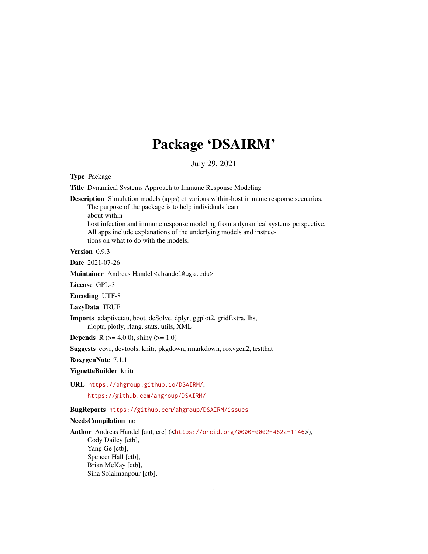## Package 'DSAIRM'

July 29, 2021

Type Package

Title Dynamical Systems Approach to Immune Response Modeling

Description Simulation models (apps) of various within-host immune response scenarios. The purpose of the package is to help individuals learn

about within-

host infection and immune response modeling from a dynamical systems perspective. All apps include explanations of the underlying models and instructions on what to do with the models.

Version 0.9.3

Date 2021-07-26

Maintainer Andreas Handel <ahandel@uga.edu>

License GPL-3

Encoding UTF-8

LazyData TRUE

Imports adaptivetau, boot, deSolve, dplyr, ggplot2, gridExtra, lhs, nloptr, plotly, rlang, stats, utils, XML

**Depends** R ( $>= 4.0.0$ ), shiny ( $>= 1.0$ )

Suggests covr, devtools, knitr, pkgdown, rmarkdown, roxygen2, testthat

RoxygenNote 7.1.1

VignetteBuilder knitr

URL <https://ahgroup.github.io/DSAIRM/>,

<https://github.com/ahgroup/DSAIRM/>

BugReports <https://github.com/ahgroup/DSAIRM/issues>

#### NeedsCompilation no

Author Andreas Handel [aut, cre] (<<https://orcid.org/0000-0002-4622-1146>>), Cody Dailey [ctb], Yang Ge [ctb], Spencer Hall [ctb], Brian McKay [ctb], Sina Solaimanpour [ctb],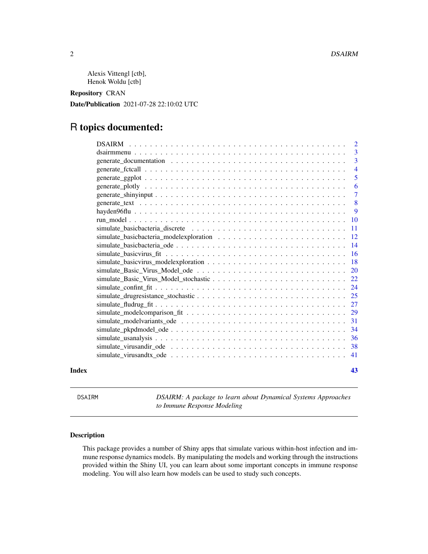<span id="page-1-0"></span>Alexis Vittengl [ctb], Henok Woldu [ctb]

Repository CRAN

Date/Publication 2021-07-28 22:10:02 UTC

## R topics documented:

|       |                                                                                                          | $\overline{2}$  |
|-------|----------------------------------------------------------------------------------------------------------|-----------------|
|       |                                                                                                          | 3               |
|       |                                                                                                          | $\overline{3}$  |
|       |                                                                                                          | $\overline{4}$  |
|       |                                                                                                          | 5               |
|       |                                                                                                          | 6               |
|       |                                                                                                          | $\overline{7}$  |
|       |                                                                                                          | 8               |
|       |                                                                                                          | 9               |
|       |                                                                                                          | <b>10</b>       |
|       |                                                                                                          | 11              |
|       |                                                                                                          | <sup>12</sup>   |
|       |                                                                                                          | $\overline{14}$ |
|       |                                                                                                          | 16              |
|       |                                                                                                          | <sup>18</sup>   |
|       |                                                                                                          | <sup>20</sup>   |
|       |                                                                                                          | 22              |
|       |                                                                                                          | -24             |
|       |                                                                                                          |                 |
|       |                                                                                                          | 27              |
|       |                                                                                                          | 29              |
|       |                                                                                                          |                 |
|       |                                                                                                          | -34             |
|       |                                                                                                          | 36              |
|       | simulate virus and ir ode $\ldots \ldots \ldots \ldots \ldots \ldots \ldots \ldots \ldots \ldots \ldots$ | 38              |
|       |                                                                                                          | 41              |
| Index |                                                                                                          | 43              |

DSAIRM *DSAIRM: A package to learn about Dynamical Systems Approaches to Immune Response Modeling*

#### Description

This package provides a number of Shiny apps that simulate various within-host infection and immune response dynamics models. By manipulating the models and working through the instructions provided within the Shiny UI, you can learn about some important concepts in immune response modeling. You will also learn how models can be used to study such concepts.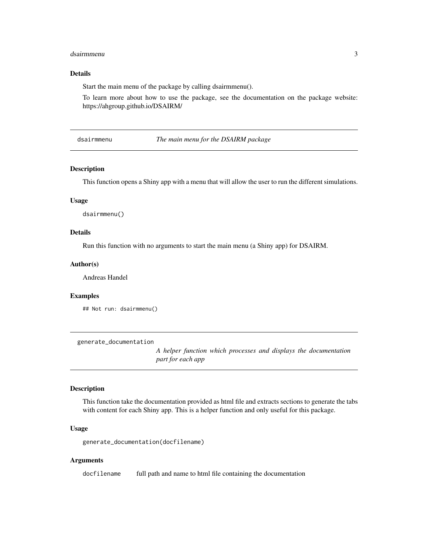#### <span id="page-2-0"></span>dsairmmenu 3

#### Details

Start the main menu of the package by calling dsairmmenu().

To learn more about how to use the package, see the documentation on the package website: https://ahgroup.github.io/DSAIRM/

dsairmmenu *The main menu for the DSAIRM package*

#### Description

This function opens a Shiny app with a menu that will allow the user to run the different simulations.

#### Usage

dsairmmenu()

#### Details

Run this function with no arguments to start the main menu (a Shiny app) for DSAIRM.

#### Author(s)

Andreas Handel

#### Examples

```
## Not run: dsairmmenu()
```
generate\_documentation

*A helper function which processes and displays the documentation part for each app*

#### Description

This function take the documentation provided as html file and extracts sections to generate the tabs with content for each Shiny app. This is a helper function and only useful for this package.

#### Usage

generate\_documentation(docfilename)

#### Arguments

docfilename full path and name to html file containing the documentation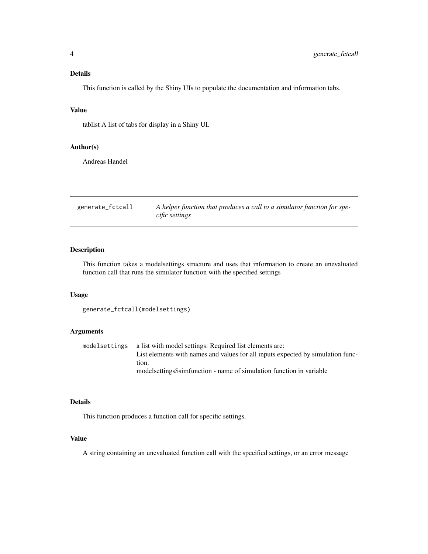<span id="page-3-0"></span>This function is called by the Shiny UIs to populate the documentation and information tabs.

#### Value

tablist A list of tabs for display in a Shiny UI.

#### Author(s)

Andreas Handel

generate\_fctcall *A helper function that produces a call to a simulator function for specific settings*

#### Description

This function takes a modelsettings structure and uses that information to create an unevaluated function call that runs the simulator function with the specified settings

#### Usage

```
generate_fctcall(modelsettings)
```
#### Arguments

modelsettings a list with model settings. Required list elements are: List elements with names and values for all inputs expected by simulation function. modelsettings\$simfunction - name of simulation function in variable

#### Details

This function produces a function call for specific settings.

#### Value

A string containing an unevaluated function call with the specified settings, or an error message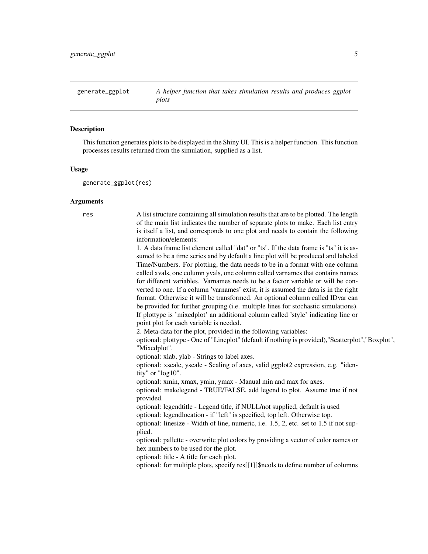<span id="page-4-0"></span>generate\_ggplot *A helper function that takes simulation results and produces ggplot plots*

#### **Description**

This function generates plots to be displayed in the Shiny UI. This is a helper function. This function processes results returned from the simulation, supplied as a list.

#### Usage

generate\_ggplot(res)

#### Arguments

res A list structure containing all simulation results that are to be plotted. The length of the main list indicates the number of separate plots to make. Each list entry is itself a list, and corresponds to one plot and needs to contain the following information/elements:

> 1. A data frame list element called "dat" or "ts". If the data frame is "ts" it is assumed to be a time series and by default a line plot will be produced and labeled Time/Numbers. For plotting, the data needs to be in a format with one column called xvals, one column yvals, one column called varnames that contains names for different variables. Varnames needs to be a factor variable or will be converted to one. If a column 'varnames' exist, it is assumed the data is in the right format. Otherwise it will be transformed. An optional column called IDvar can be provided for further grouping (i.e. multiple lines for stochastic simulations). If plottype is 'mixedplot' an additional column called 'style' indicating line or point plot for each variable is needed.

2. Meta-data for the plot, provided in the following variables:

optional: plottype - One of "Lineplot" (default if nothing is provided),"Scatterplot","Boxplot", "Mixedplot".

optional: xlab, ylab - Strings to label axes.

optional: xscale, yscale - Scaling of axes, valid ggplot2 expression, e.g. "identity" or "log10".

optional: xmin, xmax, ymin, ymax - Manual min and max for axes.

optional: makelegend - TRUE/FALSE, add legend to plot. Assume true if not provided.

optional: legendtitle - Legend title, if NULL/not supplied, default is used optional: legendlocation - if "left" is specified, top left. Otherwise top. optional: linesize - Width of line, numeric, i.e. 1.5, 2, etc. set to 1.5 if not sup-

optional: pallette - overwrite plot colors by providing a vector of color names or hex numbers to be used for the plot.

optional: title - A title for each plot.

plied.

optional: for multiple plots, specify res[[1]]\$ncols to define number of columns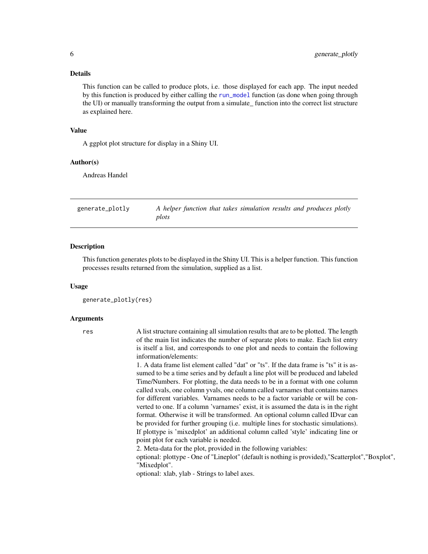<span id="page-5-0"></span>This function can be called to produce plots, i.e. those displayed for each app. The input needed by this function is produced by either calling the [run\\_model](#page-9-1) function (as done when going through the UI) or manually transforming the output from a simulate\_ function into the correct list structure as explained here.

#### Value

A ggplot plot structure for display in a Shiny UI.

#### Author(s)

Andreas Handel

generate\_plotly *A helper function that takes simulation results and produces plotly plots*

#### Description

This function generates plots to be displayed in the Shiny UI. This is a helper function. This function processes results returned from the simulation, supplied as a list.

#### Usage

```
generate_plotly(res)
```
#### Arguments

res A list structure containing all simulation results that are to be plotted. The length of the main list indicates the number of separate plots to make. Each list entry is itself a list, and corresponds to one plot and needs to contain the following information/elements:

> 1. A data frame list element called "dat" or "ts". If the data frame is "ts" it is assumed to be a time series and by default a line plot will be produced and labeled Time/Numbers. For plotting, the data needs to be in a format with one column called xvals, one column yvals, one column called varnames that contains names for different variables. Varnames needs to be a factor variable or will be converted to one. If a column 'varnames' exist, it is assumed the data is in the right format. Otherwise it will be transformed. An optional column called IDvar can be provided for further grouping (i.e. multiple lines for stochastic simulations). If plottype is 'mixedplot' an additional column called 'style' indicating line or point plot for each variable is needed.

2. Meta-data for the plot, provided in the following variables:

optional: plottype - One of "Lineplot" (default is nothing is provided),"Scatterplot","Boxplot", "Mixedplot".

optional: xlab, ylab - Strings to label axes.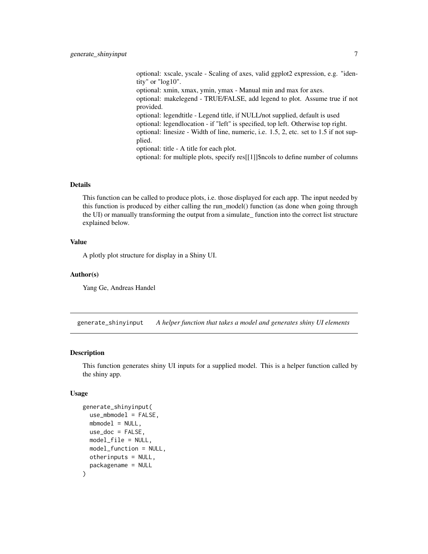<span id="page-6-0"></span>optional: xscale, yscale - Scaling of axes, valid ggplot2 expression, e.g. "identity" or "log10". optional: xmin, xmax, ymin, ymax - Manual min and max for axes. optional: makelegend - TRUE/FALSE, add legend to plot. Assume true if not provided. optional: legendtitle - Legend title, if NULL/not supplied, default is used optional: legendlocation - if "left" is specified, top left. Otherwise top right. optional: linesize - Width of line, numeric, i.e. 1.5, 2, etc. set to 1.5 if not supplied. optional: title - A title for each plot. optional: for multiple plots, specify res[[1]]\$ncols to define number of columns

#### Details

This function can be called to produce plots, i.e. those displayed for each app. The input needed by this function is produced by either calling the run\_model() function (as done when going through the UI) or manually transforming the output from a simulate\_ function into the correct list structure explained below.

#### Value

A plotly plot structure for display in a Shiny UI.

#### Author(s)

Yang Ge, Andreas Handel

generate\_shinyinput *A helper function that takes a model and generates shiny UI elements*

#### Description

This function generates shiny UI inputs for a supplied model. This is a helper function called by the shiny app.

#### Usage

```
generate_shinyinput(
  use_mbmodel = FALSE,mbmodel = NULL,
 use\_doc = FALSE,
 model_file = NULL,
 model_function = NULL,
 otherinputs = NULL,
  packagename = NULL
)
```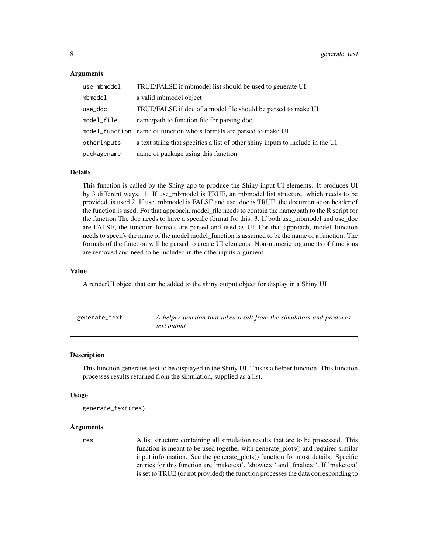#### <span id="page-7-0"></span>Arguments

| use_mbmodel | TRUE/FALSE if mbmodel list should be used to generate UI                       |
|-------------|--------------------------------------------------------------------------------|
| mbmodel     | a valid mbmodel object                                                         |
| use_doc     | TRUE/FALSE if doc of a model file should be parsed to make UI                  |
| model_file  | name/path to function file for parsing doc                                     |
|             | model_function name of function who's formals are parsed to make UI            |
| otherinputs | a text string that specifies a list of other shiny inputs to include in the UI |
| packagename | name of package using this function                                            |

#### Details

This function is called by the Shiny app to produce the Shiny input UI elements. It produces UI by 3 different ways. 1. If use\_mbmodel is TRUE, an mbmodel list structure, which needs to be provided, is used 2. If use\_mbmodel is FALSE and use\_doc is TRUE, the documentation header of the function is used. For that approach, model\_file needs to contain the name/path to the R script for the function The doc needs to have a specific format for this. 3. If both use\_mbmodel and use\_doc are FALSE, the function formals are parsed and used as UI. For that approach, model\_function needs to specify the name of the model model\_function is assumed to be the name of a function. The formals of the function will be parsed to create UI elements. Non-numeric arguments of functions are removed and need to be included in the otherinputs argument.

#### Value

A renderUI object that can be added to the shiny output object for display in a Shiny UI

| generate_text | A helper function that takes result from the simulators and produces |
|---------------|----------------------------------------------------------------------|
|               | text output                                                          |

#### Description

This function generates text to be displayed in the Shiny UI. This is a helper function. This function processes results returned from the simulation, supplied as a list.

#### Usage

```
generate_text(res)
```
#### Arguments

res A list structure containing all simulation results that are to be processed. This function is meant to be used together with generate plots() and requires similar input information. See the generate\_plots() function for most details. Specific entries for this function are 'maketext', 'showtext' and 'finaltext'. If 'maketext' is set to TRUE (or not provided) the function processes the data corresponding to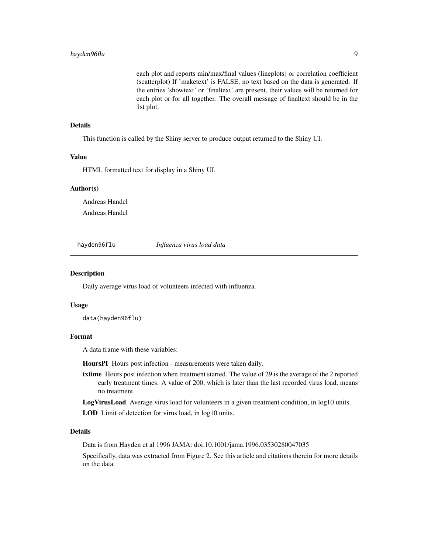<span id="page-8-0"></span>each plot and reports min/max/final values (lineplots) or correlation coefficient (scatterplot) If 'maketext' is FALSE, no text based on the data is generated. If the entries 'showtext' or 'finaltext' are present, their values will be returned for each plot or for all together. The overall message of finaltext should be in the 1st plot.

#### Details

This function is called by the Shiny server to produce output returned to the Shiny UI.

#### Value

HTML formatted text for display in a Shiny UI.

#### Author(s)

Andreas Handel

Andreas Handel

hayden96flu *Influenza virus load data*

#### Description

Daily average virus load of volunteers infected with influenza.

#### Usage

data(hayden96flu)

#### Format

A data frame with these variables:

HoursPI Hours post infection - measurements were taken daily.

txtime Hours post infection when treatment started. The value of 29 is the average of the 2 reported early treatment times. A value of 200, which is later than the last recorded virus load, means no treatment.

LogVirusLoad Average virus load for volunteers in a given treatment condition, in log10 units.

LOD Limit of detection for virus load, in log10 units.

#### Details

Data is from Hayden et al 1996 JAMA: doi:10.1001/jama.1996.03530280047035

Specifically, data was extracted from Figure 2. See this article and citations therein for more details on the data.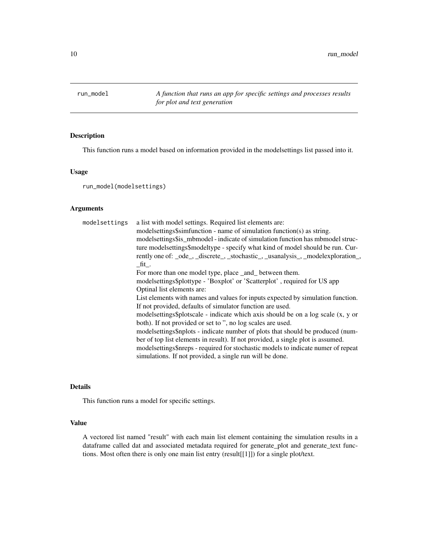<span id="page-9-1"></span><span id="page-9-0"></span>run\_model *A function that runs an app for specific settings and processes results for plot and text generation*

#### Description

This function runs a model based on information provided in the modelsettings list passed into it.

#### Usage

run\_model(modelsettings)

#### Arguments

| modelsettings | a list with model settings. Required list elements are:                           |
|---------------|-----------------------------------------------------------------------------------|
|               | modelsettings\$simfunction - name of simulation function(s) as string.            |
|               | modelsettings\$is_mbmodel - indicate of simulation function has mbmodel struc-    |
|               | ture modelsettings\$modeltype - specify what kind of model should be run. Cur-    |
|               | rently one of: _ode_, _discrete_, _stochastic_, _usanalysis_, _modelexploration_, |
|               | fit.                                                                              |
|               | For more than one model type, place _and_ between them.                           |
|               | modelsettings\$plottype - 'Boxplot' or 'Scatterplot', required for US app         |
|               | Optinal list elements are:                                                        |
|               | List elements with names and values for inputs expected by simulation function.   |
|               | If not provided, defaults of simulator function are used.                         |
|               | modelsettings\$plotscale - indicate which axis should be on a log scale (x, y or  |
|               | both). If not provided or set to ", no log scales are used.                       |
|               | modelsettings\$nplots - indicate number of plots that should be produced (num-    |
|               | ber of top list elements in result). If not provided, a single plot is assumed.   |
|               | modelsettings\$nreps - required for stochastic models to indicate numer of repeat |
|               | simulations. If not provided, a single run will be done.                          |

#### Details

This function runs a model for specific settings.

#### Value

A vectored list named "result" with each main list element containing the simulation results in a dataframe called dat and associated metadata required for generate\_plot and generate\_text functions. Most often there is only one main list entry (result[[1]]) for a single plot/text.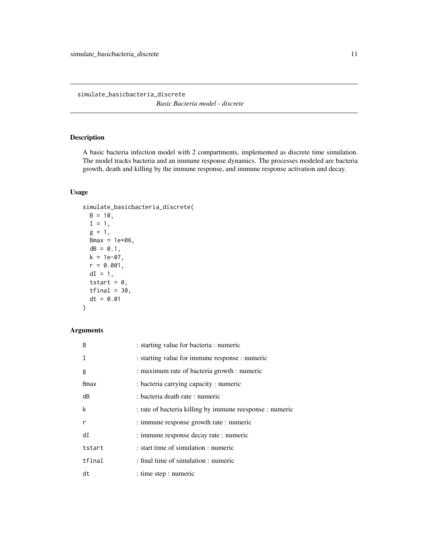<span id="page-10-0"></span>simulate\_basicbacteria\_discrete *Basic Bacteria model - discrete*

#### Description

A basic bacteria infection model with 2 compartments, implemented as discrete time simulation. The model tracks bacteria and an immune response dynamics. The processes modeled are bacteria growth, death and killing by the immune response, and immune response activation and decay.

#### Usage

```
simulate_basicbacteria_discrete(
 B = 10,I = 1,g = 1,
 Bmax = 1e+06,
 dB = 0.1,
 k = 1e-07,
  r = 0.001,
 dI = 1,
 tstart = 0,
 tfinal = 30,dt = 0.01)
```

| <sub>B</sub> | : starting value for bacteria : numeric                  |
|--------------|----------------------------------------------------------|
| T            | : starting value for immune response : numeric           |
| g            | : maximum rate of bacteria growth : numeric              |
| <b>Bmax</b>  | : bacteria carrying capacity : numeric                   |
| dB           | : bacteria death rate : numeric                          |
| k            | : rate of bacteria killing by immune reesponse : numeric |
| r            | : immune response growth rate : numeric                  |
| dI           | : immune response decay rate : numeric                   |
| tstart       | : start time of simulation : numeric                     |
| tfinal       | : final time of simulation : numeric                     |
| dt           | : time step : numeric                                    |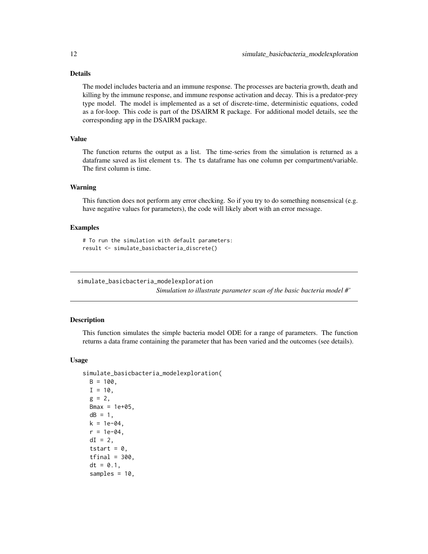<span id="page-11-0"></span>The model includes bacteria and an immune response. The processes are bacteria growth, death and killing by the immune response, and immune response activation and decay. This is a predator-prey type model. The model is implemented as a set of discrete-time, deterministic equations, coded as a for-loop. This code is part of the DSAIRM R package. For additional model details, see the corresponding app in the DSAIRM package.

#### Value

The function returns the output as a list. The time-series from the simulation is returned as a dataframe saved as list element ts. The ts dataframe has one column per compartment/variable. The first column is time.

#### Warning

This function does not perform any error checking. So if you try to do something nonsensical (e.g. have negative values for parameters), the code will likely abort with an error message.

#### Examples

# To run the simulation with default parameters: result <- simulate\_basicbacteria\_discrete()

simulate\_basicbacteria\_modelexploration

*Simulation to illustrate parameter scan of the basic bacteria model #'*

#### **Description**

This function simulates the simple bacteria model ODE for a range of parameters. The function returns a data frame containing the parameter that has been varied and the outcomes (see details).

#### Usage

```
simulate_basicbacteria_modelexploration(
 B = 100,
  I = 10,
  g = 2,
 Bmax = 1e+05,
  dB = 1,
 k = 1e-04,
  r = 1e-04.
  dI = 2,
  tstart = 0,
  tfinal = 300,dt = 0.1,
  samples = 10,
```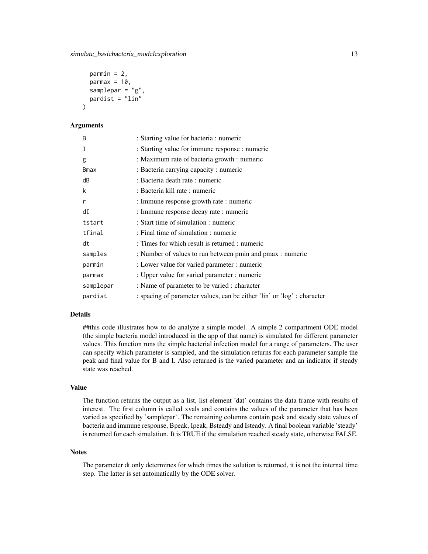```
paramin = 2,parmax = 10,
  samplepar = "g",pardist = "lin")
```
#### Arguments

| B         | : Starting value for bacteria : numeric                                 |
|-----------|-------------------------------------------------------------------------|
| Ι         | : Starting value for immune response : numeric                          |
| g         | : Maximum rate of bacteria growth : numeric                             |
| Bmax      | : Bacteria carrying capacity : numeric                                  |
| dB        | : Bacteria death rate : numeric                                         |
| k         | : Bacteria kill rate : numeric                                          |
| r         | : Immune response growth rate : numeric                                 |
| dI        | : Immune response decay rate : numeric                                  |
| tstart    | : Start time of simulation : numeric                                    |
| tfinal    | : Final time of simulation : numeric                                    |
| dt        | : Times for which result is returned : numeric                          |
| samples   | : Number of values to run between pmin and pmax : numeric               |
| parmin    | : Lower value for varied parameter : numeric                            |
| parmax    | : Upper value for varied parameter : numeric                            |
| samplepar | : Name of parameter to be varied : character                            |
| pardist   | : spacing of parameter values, can be either 'lin' or 'log' : character |

#### Details

##this code illustrates how to do analyze a simple model. A simple 2 compartment ODE model (the simple bacteria model introduced in the app of that name) is simulated for different parameter values. This function runs the simple bacterial infection model for a range of parameters. The user can specify which parameter is sampled, and the simulation returns for each parameter sample the peak and final value for B and I. Also returned is the varied parameter and an indicator if steady state was reached.

#### Value

The function returns the output as a list, list element 'dat' contains the data frame with results of interest. The first column is called xvals and contains the values of the parameter that has been varied as specified by 'samplepar'. The remaining columns contain peak and steady state values of bacteria and immune response, Bpeak, Ipeak, Bsteady and Isteady. A final boolean variable 'steady' is returned for each simulation. It is TRUE if the simulation reached steady state, otherwise FALSE.

#### Notes

The parameter dt only determines for which times the solution is returned, it is not the internal time step. The latter is set automatically by the ODE solver.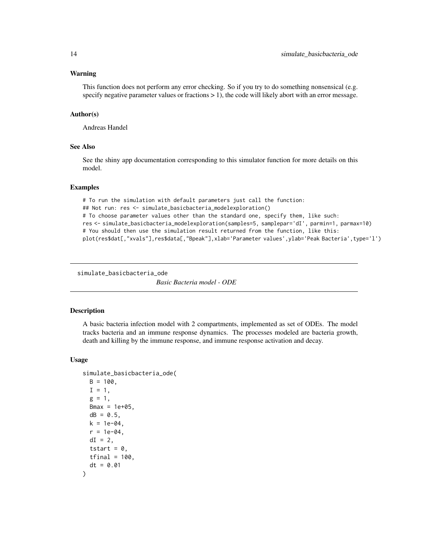#### <span id="page-13-0"></span>Warning

This function does not perform any error checking. So if you try to do something nonsensical (e.g. specify negative parameter values or fractions  $> 1$ ), the code will likely abort with an error message.

#### Author(s)

Andreas Handel

#### See Also

See the shiny app documentation corresponding to this simulator function for more details on this model.

#### Examples

```
# To run the simulation with default parameters just call the function:
## Not run: res <- simulate_basicbacteria_modelexploration()
# To choose parameter values other than the standard one, specify them, like such:
res <- simulate_basicbacteria_modelexploration(samples=5, samplepar='dI', parmin=1, parmax=10)
# You should then use the simulation result returned from the function, like this:
plot(res$dat[,"xvals"],res$data[,"Bpeak"],xlab='Parameter values',ylab='Peak Bacteria',type='l')
```

```
simulate_basicbacteria_ode
```
*Basic Bacteria model - ODE*

#### **Description**

A basic bacteria infection model with 2 compartments, implemented as set of ODEs. The model tracks bacteria and an immune response dynamics. The processes modeled are bacteria growth, death and killing by the immune response, and immune response activation and decay.

#### Usage

```
simulate_basicbacteria_ode(
 B = 100,
  I = 1,
  g = 1,
 Bmax = 1e+05,
  dB = 0.5,
 k = 1e-04,
  r = 1e-04.
 dI = 2,
  tstart = 0,
  tfinal = 100,dt = 0.01)
```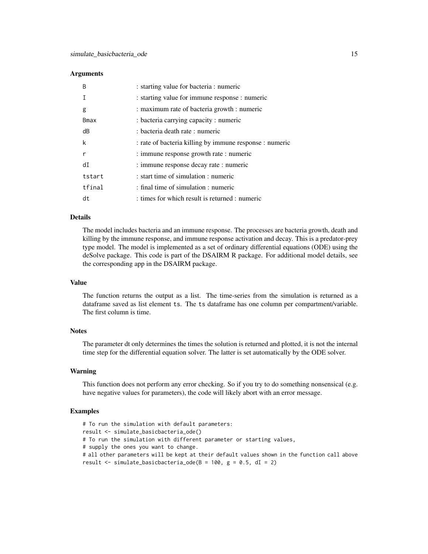#### **Arguments**

| B           | : starting value for bacteria : numeric                 |
|-------------|---------------------------------------------------------|
|             | : starting value for immune response : numeric          |
| g           | : maximum rate of bacteria growth : numeric             |
| <b>Bmax</b> | : bacteria carrying capacity : numeric                  |
| dB          | : bacteria death rate : numeric                         |
| k           | : rate of bacteria killing by immune response : numeric |
| r           | : immune response growth rate : numeric                 |
| dI          | : immune response decay rate : numeric                  |
| tstart      | : start time of simulation : numeric                    |
| tfinal      | : final time of simulation : numeric                    |
| dt          | : times for which result is returned : numeric          |

#### Details

The model includes bacteria and an immune response. The processes are bacteria growth, death and killing by the immune response, and immune response activation and decay. This is a predator-prey type model. The model is implemented as a set of ordinary differential equations (ODE) using the deSolve package. This code is part of the DSAIRM R package. For additional model details, see the corresponding app in the DSAIRM package.

#### Value

The function returns the output as a list. The time-series from the simulation is returned as a dataframe saved as list element ts. The ts dataframe has one column per compartment/variable. The first column is time.

#### **Notes**

The parameter dt only determines the times the solution is returned and plotted, it is not the internal time step for the differential equation solver. The latter is set automatically by the ODE solver.

#### Warning

This function does not perform any error checking. So if you try to do something nonsensical (e.g. have negative values for parameters), the code will likely abort with an error message.

#### Examples

# To run the simulation with default parameters: result <- simulate\_basicbacteria\_ode() # To run the simulation with different parameter or starting values, # supply the ones you want to change. # all other parameters will be kept at their default values shown in the function call above result  $\le$  simulate\_basicbacteria\_ode(B = 100, g = 0.5, dI = 2)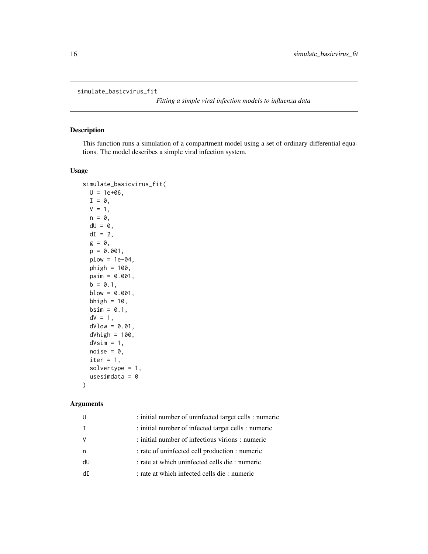```
simulate_basicvirus_fit
```
*Fitting a simple viral infection models to influenza data*

#### Description

This function runs a simulation of a compartment model using a set of ordinary differential equations. The model describes a simple viral infection system.

#### Usage

```
simulate_basicvirus_fit(
 U = 1e+06,
  I = \emptyset,
 V = 1,n = 0,
  dU = 0,
  dI = 2,
  g = 0,
  p = 0.001,
  plow = 1e-04,
 phigh = 100,
 psim = 0.001,
 b = 0.1,
 blow = 0.001,bhigh = 10,
 bsim = 0.1,
  dV = 1,
  dVlow = 0.01,
  dVhigh = 100,
  dVsim = 1,
  noise = 0,
  iter = 1,
  solvertype = 1,
  usesimdata = 0)
```

| IJ           | : initial number of uninfected target cells : numeric |
|--------------|-------------------------------------------------------|
| $\mathsf{T}$ | : initial number of infected target cells : numeric   |
| <sub>V</sub> | : initial number of infectious virions : numeric      |
| n            | : rate of uninfected cell production : numeric        |
| dU           | : rate at which uninfected cells die : numeric        |
| dT           | : rate at which infected cells die : numeric          |
|              |                                                       |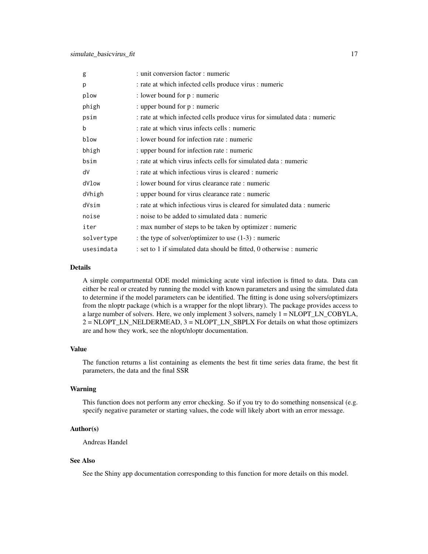| g          | : unit conversion factor : numeric                                        |
|------------|---------------------------------------------------------------------------|
| p          | : rate at which infected cells produce virus : numeric                    |
| plow       | : lower bound for p : numeric                                             |
| phigh      | : upper bound for p : numeric                                             |
| psim       | : rate at which infected cells produce virus for simulated data : numeric |
| b          | : rate at which virus infects cells : numeric                             |
| blow       | : lower bound for infection rate : numeric                                |
| bhigh      | : upper bound for infection rate : numeric                                |
| bsim       | : rate at which virus infects cells for simulated data : numeric          |
| dV         | : rate at which infectious virus is cleared : numeric                     |
| dVlow      | : lower bound for virus clearance rate : numeric                          |
| dVhigh     | : upper bound for virus clearance rate : numeric                          |
| dVsim      | : rate at which infectious virus is cleared for simulated data : numeric  |
| noise      | : noise to be added to simulated data : numeric                           |
| iter       | : max number of steps to be taken by optimizer : numeric                  |
| solvertype | : the type of solver/optimizer to use $(1-3)$ : numeric                   |
| usesimdata | : set to 1 if simulated data should be fitted, 0 otherwise : numeric      |

A simple compartmental ODE model mimicking acute viral infection is fitted to data. Data can either be real or created by running the model with known parameters and using the simulated data to determine if the model parameters can be identified. The fitting is done using solvers/optimizers from the nloptr package (which is a wrapper for the nlopt library). The package provides access to a large number of solvers. Here, we only implement 3 solvers, namely 1 = NLOPT\_LN\_COBYLA, 2 = NLOPT\_LN\_NELDERMEAD, 3 = NLOPT\_LN\_SBPLX For details on what those optimizers are and how they work, see the nlopt/nloptr documentation.

#### Value

The function returns a list containing as elements the best fit time series data frame, the best fit parameters, the data and the final SSR

#### Warning

This function does not perform any error checking. So if you try to do something nonsensical (e.g. specify negative parameter or starting values, the code will likely abort with an error message.

#### Author(s)

Andreas Handel

#### See Also

See the Shiny app documentation corresponding to this function for more details on this model.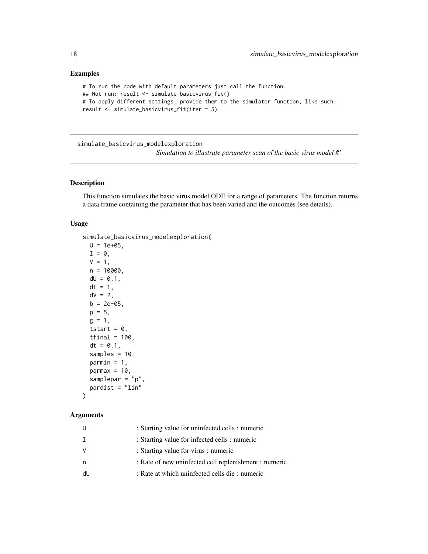#### Examples

```
# To run the code with default parameters just call the function:
## Not run: result <- simulate_basicvirus_fit()
# To apply different settings, provide them to the simulator function, like such:
result <- simulate_basicvirus_fit(iter = 5)
```
simulate\_basicvirus\_modelexploration

*Simulation to illustrate parameter scan of the basic virus model #'*

#### Description

This function simulates the basic virus model ODE for a range of parameters. The function returns a data frame containing the parameter that has been varied and the outcomes (see details).

#### Usage

```
simulate_basicvirus_modelexploration(
 U = 1e+05,
 I = 0,
 V = 1,
 n = 10000,dU = 0.1,
 dI = 1,
 dV = 2,
 b = 2e-05,
 p = 5,
 g = 1,
  tstart = 0,
  tfinal = 100,dt = 0.1,
  samples = 10,
 parmin = 1,
 parmax = 10,
  samplepar = "p",
 pardist = "lin"
)
```

| U  | : Starting value for uninfected cells : numeric       |
|----|-------------------------------------------------------|
| Ι. | : Starting value for infected cells : numeric         |
| V  | : Starting value for virus : numeric                  |
| n  | : Rate of new uninfected cell replenishment : numeric |
| dU | : Rate at which uninfected cells die : numeric        |
|    |                                                       |

<span id="page-17-0"></span>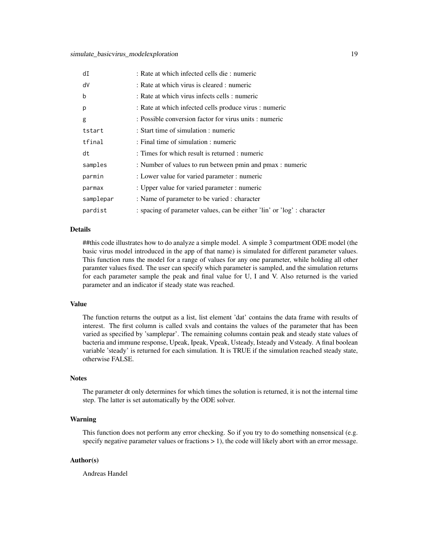| dI        | : Rate at which infected cells die : numeric                            |
|-----------|-------------------------------------------------------------------------|
| dV        | : Rate at which virus is cleared : numeric                              |
| b         | : Rate at which virus infects cells : numeric                           |
| p         | : Rate at which infected cells produce virus : numeric                  |
| g         | : Possible conversion factor for virus units : numeric                  |
| tstart    | : Start time of simulation : numeric                                    |
| tfinal    | : Final time of simulation : numeric                                    |
| dt        | : Times for which result is returned : numeric                          |
| samples   | : Number of values to run between pmin and pmax : numeric               |
| parmin    | : Lower value for varied parameter : numeric                            |
| parmax    | : Upper value for varied parameter : numeric                            |
| samplepar | : Name of parameter to be varied : character                            |
| pardist   | : spacing of parameter values, can be either 'lin' or 'log' : character |

##this code illustrates how to do analyze a simple model. A simple 3 compartment ODE model (the basic virus model introduced in the app of that name) is simulated for different parameter values. This function runs the model for a range of values for any one parameter, while holding all other paramter values fixed. The user can specify which parameter is sampled, and the simulation returns for each parameter sample the peak and final value for U, I and V. Also returned is the varied parameter and an indicator if steady state was reached.

#### Value

The function returns the output as a list, list element 'dat' contains the data frame with results of interest. The first column is called xvals and contains the values of the parameter that has been varied as specified by 'samplepar'. The remaining columns contain peak and steady state values of bacteria and immune response, Upeak, Ipeak, Vpeak, Usteady, Isteady and Vsteady. A final boolean variable 'steady' is returned for each simulation. It is TRUE if the simulation reached steady state, otherwise FALSE.

#### **Notes**

The parameter dt only determines for which times the solution is returned, it is not the internal time step. The latter is set automatically by the ODE solver.

#### Warning

This function does not perform any error checking. So if you try to do something nonsensical (e.g. specify negative parameter values or fractions  $> 1$ ), the code will likely abort with an error message.

#### Author(s)

Andreas Handel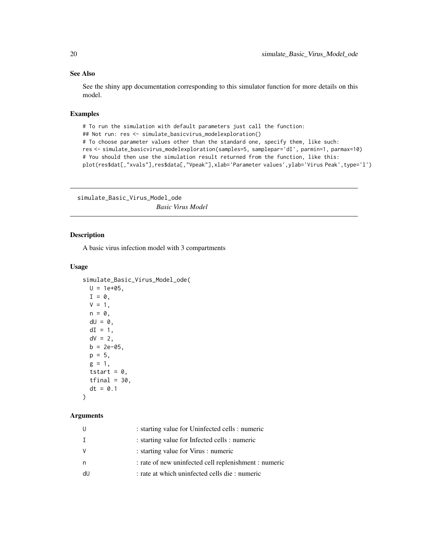#### See Also

See the shiny app documentation corresponding to this simulator function for more details on this model.

#### Examples

```
# To run the simulation with default parameters just call the function:
## Not run: res <- simulate_basicvirus_modelexploration()
# To choose parameter values other than the standard one, specify them, like such:
res <- simulate_basicvirus_modelexploration(samples=5, samplepar='dI', parmin=1, parmax=10)
# You should then use the simulation result returned from the function, like this:
plot(res$dat[,"xvals"],res$data[,"Vpeak"],xlab='Parameter values',ylab='Virus Peak',type='l')
```
simulate\_Basic\_Virus\_Model\_ode *Basic Virus Model*

#### Description

A basic virus infection model with 3 compartments

#### Usage

```
simulate_Basic_Virus_Model_ode(
 U = 1e+05,
 I = 0,
 V = 1,n = 0,
 dU = 0.
 dI = 1,
 dV = 2,
 b = 2e-05,
 p = 5,
 g = 1,
 tstart = 0,
  tfinal = 30,dt = 0.1\lambda
```

| U  | : starting value for Uninfected cells : numeric       |
|----|-------------------------------------------------------|
| T  | : starting value for Infected cells : numeric         |
| V  | : starting value for Virus : numeric                  |
| n  | : rate of new uninfected cell replenishment : numeric |
| dU | : rate at which uninfected cells die : numeric        |
|    |                                                       |

<span id="page-19-0"></span>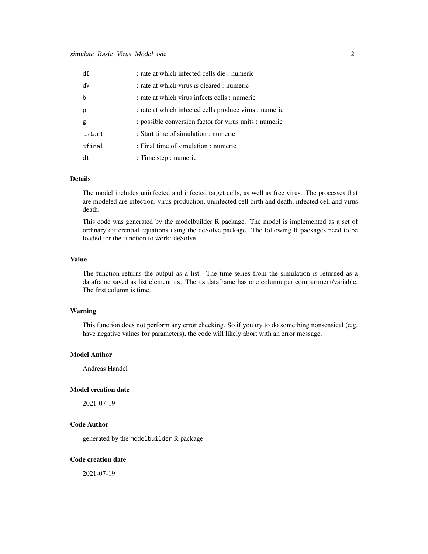| dI          | : rate at which infected cells die : numeric           |
|-------------|--------------------------------------------------------|
| dV          | : rate at which virus is cleared : numeric             |
| $\mathbf b$ | : rate at which virus infects cells : numeric          |
| p           | : rate at which infected cells produce virus : numeric |
| g           | : possible conversion factor for virus units : numeric |
| tstart      | : Start time of simulation : numeric                   |
| tfinal      | : Final time of simulation : numeric                   |
| dt          | : Time step : numeric                                  |

The model includes uninfected and infected target cells, as well as free virus. The processes that are modeled are infection, virus production, uninfected cell birth and death, infected cell and virus death.

This code was generated by the modelbuilder R package. The model is implemented as a set of ordinary differential equations using the deSolve package. The following R packages need to be loaded for the function to work: deSolve.

#### Value

The function returns the output as a list. The time-series from the simulation is returned as a dataframe saved as list element ts. The ts dataframe has one column per compartment/variable. The first column is time.

#### Warning

This function does not perform any error checking. So if you try to do something nonsensical (e.g. have negative values for parameters), the code will likely abort with an error message.

#### Model Author

Andreas Handel

#### Model creation date

2021-07-19

#### Code Author

generated by the modelbuilder R package

#### Code creation date

2021-07-19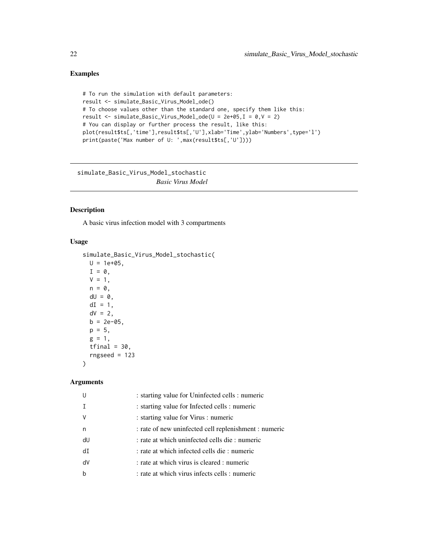#### <span id="page-21-0"></span>Examples

```
# To run the simulation with default parameters:
result <- simulate_Basic_Virus_Model_ode()
# To choose values other than the standard one, specify them like this:
result <- simulate_Basic_Virus_Model_ode(U = 2e+05,I = 0,V = 2)
# You can display or further process the result, like this:
plot(result$ts[,'time'],result$ts[,'U'],xlab='Time',ylab='Numbers',type='l')
print(paste('Max number of U: ',max(result$ts[,'U'])))
```
simulate\_Basic\_Virus\_Model\_stochastic *Basic Virus Model*

#### Description

A basic virus infection model with 3 compartments

#### Usage

```
simulate_Basic_Virus_Model_stochastic(
 U = 1e+05,
 I = 0,
 V = 1,n = 0,
 dU = 0,
 dI = 1,
 dV = 2,
 b = 2e-05,
 p = 5,
 g = 1,
 tfinal = 30,rngseed = 123)
```

|                        | : starting value for Uninfected cells : numeric       |
|------------------------|-------------------------------------------------------|
|                        | : starting value for Infected cells : numeric         |
| V                      | : starting value for Virus : numeric                  |
| n                      | : rate of new uninfected cell replenishment : numeric |
| dU                     | : rate at which uninfected cells die : numeric        |
| $\mathsf{d}\mathsf{T}$ | : rate at which infected cells die : numeric          |
| dV                     | : rate at which virus is cleared : numeric            |
| b                      | : rate at which virus infects cells : numeric         |
|                        |                                                       |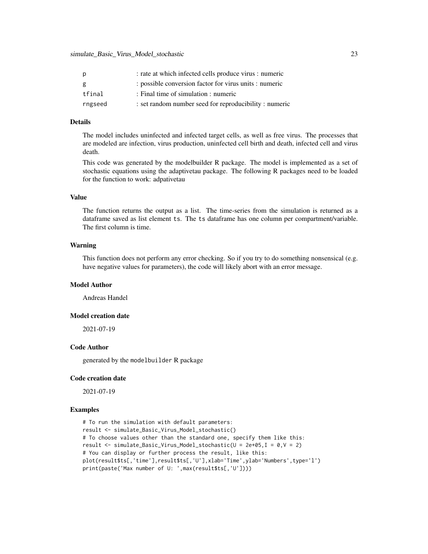| р       | : rate at which infected cells produce virus : numeric |
|---------|--------------------------------------------------------|
| g       | : possible conversion factor for virus units : numeric |
| tfinal  | : Final time of simulation : numeric                   |
| rngseed | : set random number seed for reproducibility : numeric |

The model includes uninfected and infected target cells, as well as free virus. The processes that are modeled are infection, virus production, uninfected cell birth and death, infected cell and virus death.

This code was generated by the modelbuilder R package. The model is implemented as a set of stochastic equations using the adaptivetau package. The following R packages need to be loaded for the function to work: adpativetau

#### Value

The function returns the output as a list. The time-series from the simulation is returned as a dataframe saved as list element ts. The ts dataframe has one column per compartment/variable. The first column is time.

#### Warning

This function does not perform any error checking. So if you try to do something nonsensical (e.g. have negative values for parameters), the code will likely abort with an error message.

#### Model Author

Andreas Handel

#### Model creation date

2021-07-19

#### Code Author

generated by the modelbuilder R package

#### Code creation date

2021-07-19

#### Examples

```
# To run the simulation with default parameters:
result <- simulate_Basic_Virus_Model_stochastic()
# To choose values other than the standard one, specify them like this:
result <- simulate_Basic_Virus_Model_stochastic(U = 2e+05,I = 0,V = 2)
# You can display or further process the result, like this:
plot(result$ts[,'time'],result$ts[,'U'],xlab='Time',ylab='Numbers',type='l')
print(paste('Max number of U: ',max(result$ts[,'U'])))
```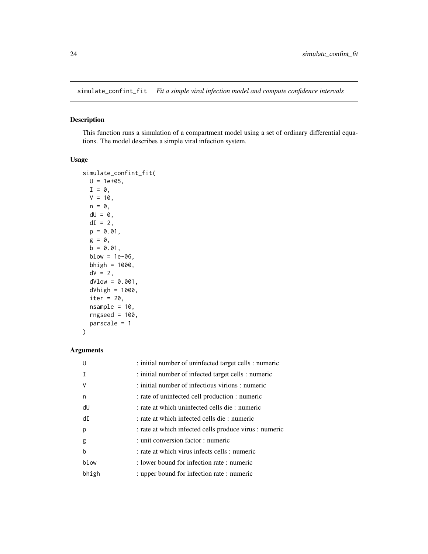<span id="page-23-0"></span>simulate\_confint\_fit *Fit a simple viral infection model and compute confidence intervals*

#### Description

This function runs a simulation of a compartment model using a set of ordinary differential equations. The model describes a simple viral infection system.

#### Usage

```
simulate_confint_fit(
 U = 1e+05,
 I = \emptyset,
 V = 10,
 n = 0,
 dU = 0,
 dI = 2,
 p = 0.01,
 g = 0,
 b = 0.01,
 blow = 1e-06,
 bhigh = 1000,
 dV = 2,
 dVlow = 0.001,dVhigh = 1000,iter = 20,
 nsample = 10,rngseed = 100,
 parscale = 1
)
```

| U     | : initial number of uninfected target cells : numeric  |
|-------|--------------------------------------------------------|
|       | : initial number of infected target cells : numeric    |
| ν     | : initial number of infectious virions : numeric       |
| n     | : rate of uninfected cell production : numeric         |
| dU    | : rate at which uninfected cells die : numeric         |
| dI    | : rate at which infected cells die : numeric           |
| p     | : rate at which infected cells produce virus : numeric |
| g     | : unit conversion factor : numeric                     |
| b     | : rate at which virus infects cells : numeric          |
| blow  | : lower bound for infection rate : numeric             |
| bhigh | : upper bound for infection rate : numeric             |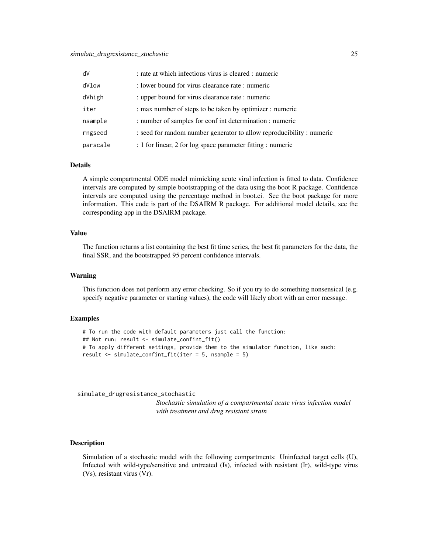#### <span id="page-24-0"></span>simulate\_drugresistance\_stochastic 25

| dV       | : rate at which infectious virus is cleared : numeric                |
|----------|----------------------------------------------------------------------|
| dVlow    | : lower bound for virus clearance rate : numeric                     |
| dVhigh   | : upper bound for virus clearance rate : numeric                     |
| iter     | : max number of steps to be taken by optimizer : numeric             |
| nsample  | : number of samples for conf int determination : numeric             |
| rngseed  | : seed for random number generator to allow reproducibility: numeric |
| parscale | : 1 for linear, 2 for log space parameter fitting : numeric          |

#### Details

A simple compartmental ODE model mimicking acute viral infection is fitted to data. Confidence intervals are computed by simple bootstrapping of the data using the boot R package. Confidence intervals are computed using the percentage method in boot.ci. See the boot package for more information. This code is part of the DSAIRM R package. For additional model details, see the corresponding app in the DSAIRM package.

#### Value

The function returns a list containing the best fit time series, the best fit parameters for the data, the final SSR, and the bootstrapped 95 percent confidence intervals.

#### Warning

This function does not perform any error checking. So if you try to do something nonsensical (e.g. specify negative parameter or starting values), the code will likely abort with an error message.

#### Examples

```
# To run the code with default parameters just call the function:
## Not run: result <- simulate_confint_fit()
# To apply different settings, provide them to the simulator function, like such:
result <- simulate_confint_fit(iter = 5, nsample = 5)
```
simulate\_drugresistance\_stochastic

*Stochastic simulation of a compartmental acute virus infection model with treatment and drug resistant strain*

#### **Description**

Simulation of a stochastic model with the following compartments: Uninfected target cells (U), Infected with wild-type/sensitive and untreated (Is), infected with resistant (Ir), wild-type virus (Vs), resistant virus (Vr).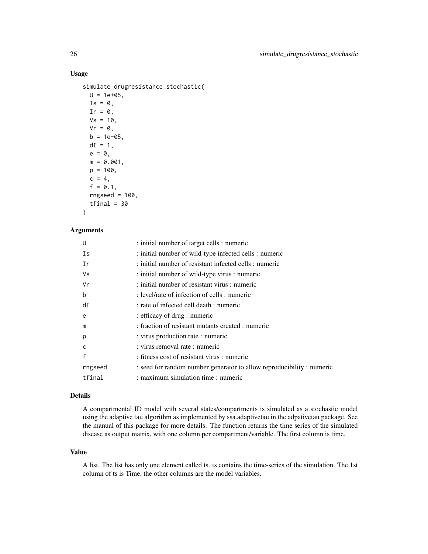#### Usage

```
simulate_drugresistance_stochastic(
 U = 1e+05,
  Is = 0,Ir = \theta,
 Vs = 10,Vr = 0,
 b = 1e-05,
 dI = 1,
 e = 0,
 m = 0.001,p = 100,
 c = 4,
  f = 0.1,
  rngseed = 100,
 tfinal = 30
```
## )

### Arguments

| U            | : initial number of target cells : numeric                           |
|--------------|----------------------------------------------------------------------|
| Is           | : initial number of wild-type infected cells : numeric               |
| Ir           | : initial number of resistant infected cells : numeric               |
| Vs           | : initial number of wild-type virus : numeric                        |
| Vr           | : initial number of resistant virus : numeric                        |
| b            | : level/rate of infection of cells : numeric                         |
| dI           | : rate of infected cell death : numeric                              |
| e            | : efficacy of drug : numeric                                         |
| m            | : fraction of resistant mutants created : numeric                    |
| p            | : virus production rate : numeric                                    |
| $\mathsf{C}$ | : virus removal rate : numeric                                       |
| $\mathsf{f}$ | : fitness cost of resistant virus : numeric                          |
| rngseed      | : seed for random number generator to allow reproducibility: numeric |
| tfinal       | : maximum simulation time : numeric                                  |

#### Details

A compartmental ID model with several states/compartments is simulated as a stochastic model using the adaptive tau algorithm as implemented by ssa.adaptivetau in the adpativetau package. See the manual of this package for more details. The function returns the time series of the simulated disease as output matrix, with one column per compartment/variable. The first column is time.

#### Value

A list. The list has only one element called ts. ts contains the time-series of the simulation. The 1st column of ts is Time, the other columns are the model variables.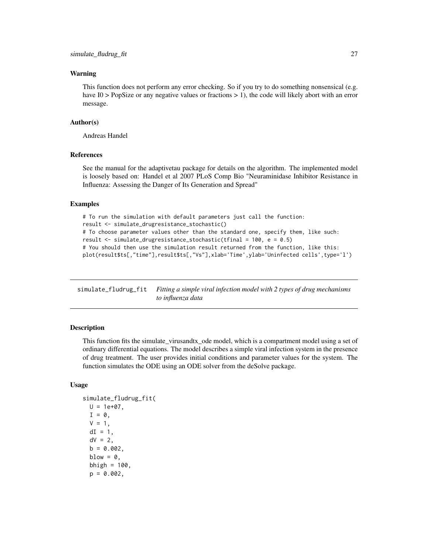#### <span id="page-26-0"></span>Warning

This function does not perform any error checking. So if you try to do something nonsensical (e.g. have I0 > PopSize or any negative values or fractions > 1), the code will likely abort with an error message.

#### Author(s)

Andreas Handel

#### References

See the manual for the adaptivetau package for details on the algorithm. The implemented model is loosely based on: Handel et al 2007 PLoS Comp Bio "Neuraminidase Inhibitor Resistance in Influenza: Assessing the Danger of Its Generation and Spread"

#### Examples

```
# To run the simulation with default parameters just call the function:
result <- simulate_drugresistance_stochastic()
# To choose parameter values other than the standard one, specify them, like such:
result \le simulate_drugresistance_stochastic(tfinal = 100, e = 0.5)
# You should then use the simulation result returned from the function, like this:
plot(result$ts[,"time"],result$ts[,"Vs"],xlab='Time',ylab='Uninfected cells',type='l')
```
simulate\_fludrug\_fit *Fitting a simple viral infection model with 2 types of drug mechanisms to influenza data*

#### **Description**

This function fits the simulate\_virusandtx\_ode model, which is a compartment model using a set of ordinary differential equations. The model describes a simple viral infection system in the presence of drug treatment. The user provides initial conditions and parameter values for the system. The function simulates the ODE using an ODE solver from the deSolve package.

#### Usage

```
simulate_fludrug_fit(
  U = 1e+07,
  I = 0,
  V = 1,
  dI = 1,
  dV = 2.
  b = 0.002,
  blow = \theta,
  bhigh = 100,
  p = 0.002,
```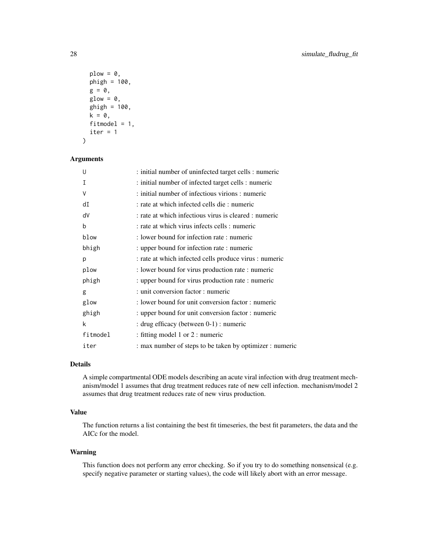```
plow = 0,
 phigh = 100,
 g = 0,
 glow = 0,ghigh = 100,
 k = 0,fitmodel = 1,
  iter = 1\lambda
```
#### Arguments

| U        | : initial number of uninfected target cells : numeric    |
|----------|----------------------------------------------------------|
| I        | : initial number of infected target cells : numeric      |
| V        | : initial number of infectious virions : numeric         |
| dI       | : rate at which infected cells die : numeric             |
| dV       | : rate at which infectious virus is cleared : numeric    |
| b        | : rate at which virus infects cells : numeric            |
| blow     | : lower bound for infection rate : numeric               |
| bhigh    | : upper bound for infection rate : numeric               |
| p        | : rate at which infected cells produce virus : numeric   |
| plow     | : lower bound for virus production rate : numeric        |
| phigh    | : upper bound for virus production rate : numeric        |
| g        | : unit conversion factor : numeric                       |
| glow     | : lower bound for unit conversion factor : numeric       |
| ghigh    | : upper bound for unit conversion factor : numeric       |
| k        | : drug efficacy (between 0-1) : numeric                  |
| fitmodel | : fitting model 1 or 2 : numeric                         |
| iter     | : max number of steps to be taken by optimizer : numeric |

#### Details

A simple compartmental ODE models describing an acute viral infection with drug treatment mechanism/model 1 assumes that drug treatment reduces rate of new cell infection. mechanism/model 2 assumes that drug treatment reduces rate of new virus production.

#### Value

The function returns a list containing the best fit timeseries, the best fit parameters, the data and the AICc for the model.

#### Warning

This function does not perform any error checking. So if you try to do something nonsensical (e.g. specify negative parameter or starting values), the code will likely abort with an error message.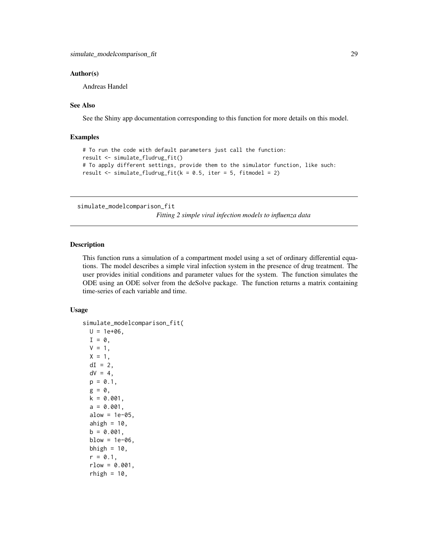#### <span id="page-28-0"></span>Author(s)

Andreas Handel

#### See Also

See the Shiny app documentation corresponding to this function for more details on this model.

#### Examples

```
# To run the code with default parameters just call the function:
result <- simulate_fludrug_fit()
# To apply different settings, provide them to the simulator function, like such:
result \le simulate_fludrug_fit(k = 0.5, iter = 5, fitmodel = 2)
```
simulate\_modelcomparison\_fit

*Fitting 2 simple viral infection models to influenza data*

#### Description

This function runs a simulation of a compartment model using a set of ordinary differential equations. The model describes a simple viral infection system in the presence of drug treatment. The user provides initial conditions and parameter values for the system. The function simulates the ODE using an ODE solver from the deSolve package. The function returns a matrix containing time-series of each variable and time.

#### Usage

```
simulate_modelcomparison_fit(
 U = 1e+06,
  I = 0.
 V = 1,
 X = 1,
  dI = 2,
  dV = 4,
 p = 0.1,
 g = 0,
 k = 0.001,
  a = 0.001,alow = 1e-05,
  ahigh = 10,
 b = 0.001,
 blow = 1e-06,
 bhigh = 10,
  r = 0.1,
  rlow = 0.001,rhigh = 10,
```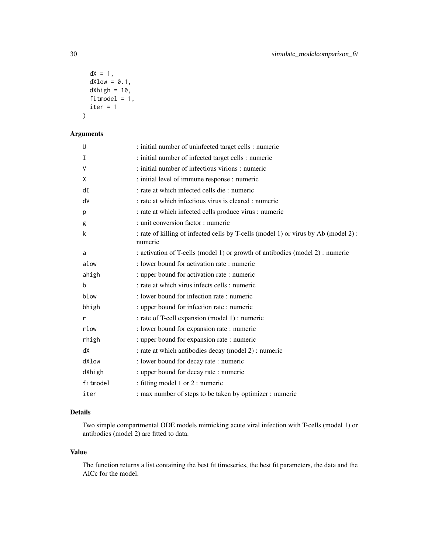```
dX = 1,
 dXlow = 0.1,
 dXhigh = 10,
 fitmodel = 1,
 iter = 1)
```
#### Arguments

| U        | : initial number of uninfected target cells : numeric                                         |
|----------|-----------------------------------------------------------------------------------------------|
| I        | : initial number of infected target cells : numeric                                           |
| V        | : initial number of infectious virions : numeric                                              |
| X        | : initial level of immune response : numeric                                                  |
| dI       | : rate at which infected cells die : numeric                                                  |
| dV       | : rate at which infectious virus is cleared : numeric                                         |
| р        | : rate at which infected cells produce virus : numeric                                        |
| g        | : unit conversion factor : numeric                                                            |
| k        | : rate of killing of infected cells by T-cells (model 1) or virus by Ab (model 2):<br>numeric |
| a        | : activation of T-cells (model 1) or growth of antibodies (model 2) : numeric                 |
| alow     | : lower bound for activation rate : numeric                                                   |
| ahigh    | : upper bound for activation rate : numeric                                                   |
| b        | : rate at which virus infects cells : numeric                                                 |
| blow     | : lower bound for infection rate : numeric                                                    |
| bhigh    | : upper bound for infection rate : numeric                                                    |
| r        | : rate of T-cell expansion (model 1) : numeric                                                |
| rlow     | : lower bound for expansion rate : numeric                                                    |
| rhigh    | : upper bound for expansion rate : numeric                                                    |
| dX       | : rate at which antibodies decay (model 2) : numeric                                          |
| dXlow    | : lower bound for decay rate : numeric                                                        |
| dXhigh   | : upper bound for decay rate : numeric                                                        |
| fitmodel | : fitting model 1 or 2 : numeric                                                              |
| iter     | : max number of steps to be taken by optimizer : numeric                                      |

#### Details

Two simple compartmental ODE models mimicking acute viral infection with T-cells (model 1) or antibodies (model 2) are fitted to data.

#### Value

The function returns a list containing the best fit timeseries, the best fit parameters, the data and the AICc for the model.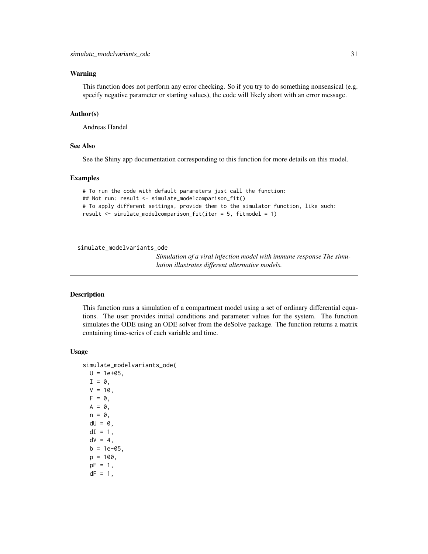#### <span id="page-30-0"></span>Warning

This function does not perform any error checking. So if you try to do something nonsensical (e.g. specify negative parameter or starting values), the code will likely abort with an error message.

#### Author(s)

Andreas Handel

#### See Also

See the Shiny app documentation corresponding to this function for more details on this model.

#### Examples

```
# To run the code with default parameters just call the function:
## Not run: result <- simulate_modelcomparison_fit()
# To apply different settings, provide them to the simulator function, like such:
result <- simulate_modelcomparison_fit(iter = 5, fitmodel = 1)
```
simulate\_modelvariants\_ode

*Simulation of a viral infection model with immune response The simulation illustrates different alternative models.*

#### Description

This function runs a simulation of a compartment model using a set of ordinary differential equations. The user provides initial conditions and parameter values for the system. The function simulates the ODE using an ODE solver from the deSolve package. The function returns a matrix containing time-series of each variable and time.

#### Usage

```
simulate_modelvariants_ode(
 U = 1e+05,
  I = 0,
 V = 10,
 F = 0,
 A = 0,
 n = 0,
 dU = 0,
 dI = 1,
 dV = 4,
 b = 1e-05.
 p = 100,
  pF = 1,
  dF = 1,
```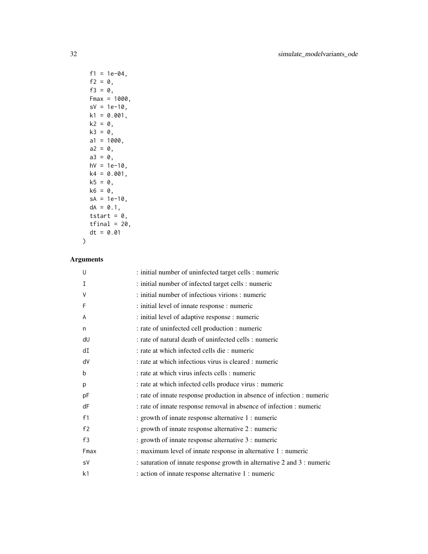```
f1 = 1e-04,
 f2 = 0,f3 = 0,Fmax = 1000,
 sV = 1e-10,
 k1 = 0.001,k2 = 0,
 k3 = 0,a1 = 1000,a2 = 0,
 a3 = 0,hV = 1e-10,
 k4 = 0.001,
 k5 = 0,k6 = 0,
 sA = 1e-10,
 dA = 0.1,
 tstart = 0,
 tfinal = 20,
 dt = 0.01)
```

| U    | : initial number of uninfected target cells : numeric                   |
|------|-------------------------------------------------------------------------|
| I    | : initial number of infected target cells : numeric                     |
| V    | : initial number of infectious virions : numeric                        |
| F    | : initial level of innate response : numeric                            |
| A    | : initial level of adaptive response : numeric                          |
| n    | : rate of uninfected cell production : numeric                          |
| dU   | : rate of natural death of uninfected cells : numeric                   |
| dI   | : rate at which infected cells die : numeric                            |
| dV   | : rate at which infectious virus is cleared : numeric                   |
| b    | : rate at which virus infects cells : numeric                           |
| p    | : rate at which infected cells produce virus : numeric                  |
| pF   | : rate of innate response production in absence of infection : numeric  |
| dF   | : rate of innate response removal in absence of infection : numeric     |
| f1   | : growth of innate response alternative 1 : numeric                     |
| f2   | : growth of innate response alternative 2 : numeric                     |
| f3   | : growth of innate response alternative 3 : numeric                     |
| Fmax | : maximum level of innate response in alternative 1 : numeric           |
| sV   | : saturation of innate response growth in alternative 2 and 3 : numeric |
| k1   | : action of innate response alternative 1 : numeric                     |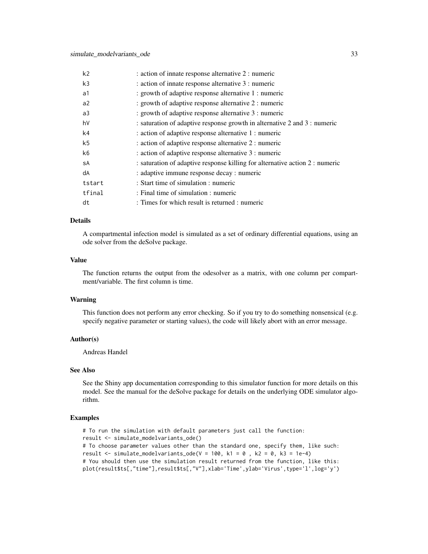| k <sub>2</sub> | : action of innate response alternative 2 : numeric                          |
|----------------|------------------------------------------------------------------------------|
| k3             | : action of innate response alternative 3 : numeric                          |
| a1             | : growth of adaptive response alternative 1 : numeric                        |
| a2             | : growth of adaptive response alternative 2 : numeric                        |
| a3             | : growth of adaptive response alternative 3 : numeric                        |
| h٧             | : saturation of adaptive response growth in alternative 2 and 3 : numeric    |
| k4             | : action of adaptive response alternative 1 : numeric                        |
| k5             | : action of adaptive response alternative 2 : numeric                        |
| k6             | : action of adaptive response alternative 3 : numeric                        |
| sA             | : saturation of adaptive response killing for alternative action 2 : numeric |
| dA             | : adaptive immune response decay : numeric                                   |
| tstart         | : Start time of simulation : numeric                                         |
| tfinal         | : Final time of simulation : numeric                                         |
| dt             | : Times for which result is returned : numeric                               |

A compartmental infection model is simulated as a set of ordinary differential equations, using an ode solver from the deSolve package.

#### Value

The function returns the output from the odesolver as a matrix, with one column per compartment/variable. The first column is time.

#### Warning

This function does not perform any error checking. So if you try to do something nonsensical (e.g. specify negative parameter or starting values), the code will likely abort with an error message.

#### Author(s)

Andreas Handel

#### See Also

See the Shiny app documentation corresponding to this simulator function for more details on this model. See the manual for the deSolve package for details on the underlying ODE simulator algorithm.

#### Examples

```
# To run the simulation with default parameters just call the function:
result <- simulate_modelvariants_ode()
# To choose parameter values other than the standard one, specify them, like such:
result \le simulate_modelvariants_ode(V = 100, k1 = 0, k2 = 0, k3 = 1e-4)
# You should then use the simulation result returned from the function, like this:
plot(result$ts[,"time"],result$ts[,"V"],xlab='Time',ylab='Virus',type='l',log='y')
```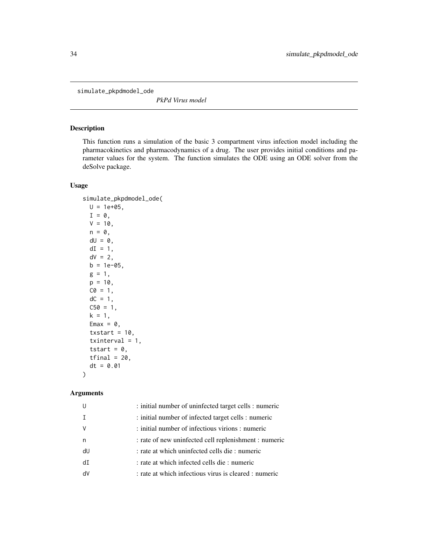<span id="page-33-0"></span>simulate\_pkpdmodel\_ode

*PkPd Virus model*

#### Description

This function runs a simulation of the basic 3 compartment virus infection model including the pharmacokinetics and pharmacodynamics of a drug. The user provides initial conditions and parameter values for the system. The function simulates the ODE using an ODE solver from the deSolve package.

#### Usage

```
simulate_pkpdmodel_ode(
 U = 1e+05,
 I = \emptyset,
 V = 10,
 n = 0,
 dU = 0,
 dI = 1,
 dV = 2,
 b = 1e-05,
 g = 1,
 p = 10,
 CO = 1,
 dC = 1,
 C50 = 1,k = 1,
 Emax = 0,
  txstart = 10,
  txinterval = 1,
  tstart = 0,
  tfinal = 20,dt = 0.01
)
```

|    | : initial number of uninfected target cells : numeric |
|----|-------------------------------------------------------|
|    | : initial number of infected target cells : numeric   |
|    | : initial number of infectious virions : numeric      |
| n  | : rate of new uninfected cell replenishment : numeric |
| dU | : rate at which uninfected cells die : numeric        |
| dT | : rate at which infected cells die : numeric          |
| d٧ | : rate at which infectious virus is cleared : numeric |
|    |                                                       |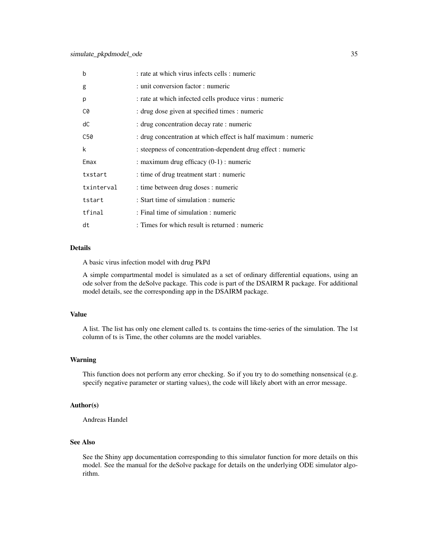| $\mathbf b$ | : rate at which virus infects cells : numeric                  |
|-------------|----------------------------------------------------------------|
| g           | : unit conversion factor : numeric                             |
| p           | : rate at which infected cells produce virus : numeric         |
| C0          | : drug dose given at specified times : numeric                 |
| dC          | : drug concentration decay rate : numeric                      |
| C50         | : drug concentration at which effect is half maximum : numeric |
| k           | : steepness of concentration-dependent drug effect : numeric   |
| Emax        | : maximum drug efficacy $(0-1)$ : numeric                      |
| txstart     | : time of drug treatment start : numeric                       |
| txinterval  | : time between drug doses : numeric                            |
| tstart      | : Start time of simulation : numeric                           |
| tfinal      | : Final time of simulation : numeric                           |
| dt          | : Times for which result is returned : numeric                 |

A basic virus infection model with drug PkPd

A simple compartmental model is simulated as a set of ordinary differential equations, using an ode solver from the deSolve package. This code is part of the DSAIRM R package. For additional model details, see the corresponding app in the DSAIRM package.

#### Value

A list. The list has only one element called ts. ts contains the time-series of the simulation. The 1st column of ts is Time, the other columns are the model variables.

#### Warning

This function does not perform any error checking. So if you try to do something nonsensical (e.g. specify negative parameter or starting values), the code will likely abort with an error message.

#### Author(s)

Andreas Handel

### See Also

See the Shiny app documentation corresponding to this simulator function for more details on this model. See the manual for the deSolve package for details on the underlying ODE simulator algorithm.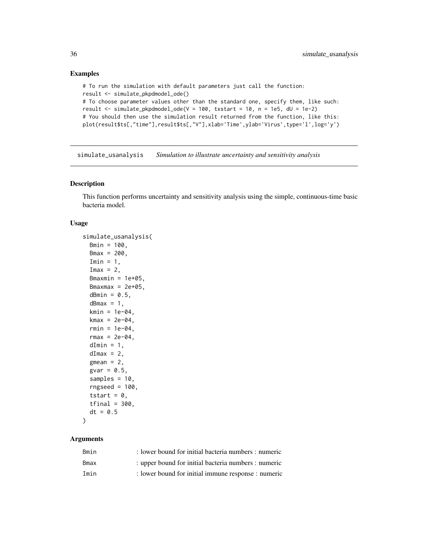#### Examples

```
# To run the simulation with default parameters just call the function:
result <- simulate_pkpdmodel_ode()
# To choose parameter values other than the standard one, specify them, like such:
result <- simulate_pkpdmodel_ode(V = 100, txstart = 10, n = 1e5, dU = 1e-2)
# You should then use the simulation result returned from the function, like this:
plot(result$ts[,"time"],result$ts[,"V"],xlab='Time',ylab='Virus',type='l',log='y')
```
simulate\_usanalysis *Simulation to illustrate uncertainty and sensitivity analysis*

#### Description

This function performs uncertainty and sensitivity analysis using the simple, continuous-time basic bacteria model.

#### Usage

```
simulate_usanalysis(
  Bmin = 100,Bmax = 200,
  Imin = 1,
  Imax = 2,
  Bmaxmin = 1e+05,
 Bmaxmax = 2e+05,
  dBmin = 0.5,
  dBmax = 1,
  kmin = 1e-04,
  kmax = 2e-04,
  rmin = 1e-04,
  rmax = 2e-04,
  dImin = 1,
  dImax = 2,
  gmean = 2,
  gvar = 0.5,
  samples = 10,
  rngseed = 100,tstart = 0,
  tfinal = 300,dt = 0.5)
```

| Bmin | : lower bound for initial bacteria numbers : numeric |
|------|------------------------------------------------------|
| Bmax | : upper bound for initial bacteria numbers : numeric |
| Imin | : lower bound for initial immune response : numeric  |

<span id="page-35-0"></span>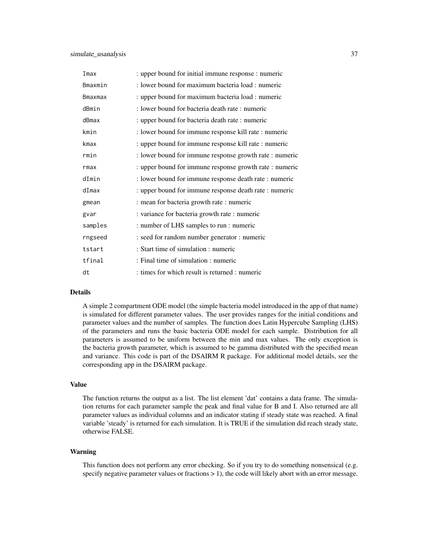| Imax    | : upper bound for initial immune response : numeric     |
|---------|---------------------------------------------------------|
| Bmaxmin | : lower bound for maximum bacteria load : numeric       |
| Bmaxmax | : upper bound for maximum bacteria load : numeric       |
| dBmin   | : lower bound for bacteria death rate : numeric         |
| dBmax   | : upper bound for bacteria death rate : numeric         |
| kmin    | : lower bound for immune response kill rate : numeric   |
| kmax    | : upper bound for immune response kill rate : numeric   |
| rmin    | : lower bound for immune response growth rate : numeric |
| rmax    | : upper bound for immune response growth rate : numeric |
| dImin   | : lower bound for immune response death rate : numeric  |
| dImax   | : upper bound for immune response death rate : numeric  |
| gmean   | : mean for bacteria growth rate : numeric               |
| gvar    | : variance for bacteria growth rate : numeric           |
| samples | : number of LHS samples to run : numeric                |
| rngseed | : seed for random number generator : numeric            |
| tstart  | : Start time of simulation : numeric                    |
| tfinal  | : Final time of simulation : numeric                    |
| dt      | : times for which result is returned : numeric          |

A simple 2 compartment ODE model (the simple bacteria model introduced in the app of that name) is simulated for different parameter values. The user provides ranges for the initial conditions and parameter values and the number of samples. The function does Latin Hypercube Sampling (LHS) of the parameters and runs the basic bacteria ODE model for each sample. Distribution for all parameters is assumed to be uniform between the min and max values. The only exception is the bacteria growth parameter, which is assumed to be gamma distributed with the specified mean and variance. This code is part of the DSAIRM R package. For additional model details, see the corresponding app in the DSAIRM package.

#### Value

The function returns the output as a list. The list element 'dat' contains a data frame. The simulation returns for each parameter sample the peak and final value for B and I. Also returned are all parameter values as individual columns and an indicator stating if steady state was reached. A final variable 'steady' is returned for each simulation. It is TRUE if the simulation did reach steady state, otherwise FALSE.

#### Warning

This function does not perform any error checking. So if you try to do something nonsensical (e.g. specify negative parameter values or fractions > 1), the code will likely abort with an error message.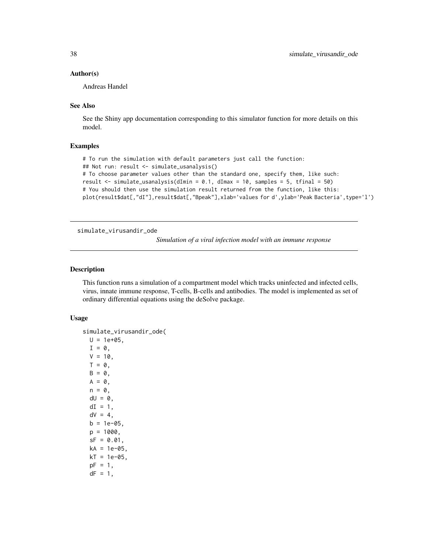#### <span id="page-37-0"></span>Author(s)

Andreas Handel

#### See Also

See the Shiny app documentation corresponding to this simulator function for more details on this model.

#### Examples

```
# To run the simulation with default parameters just call the function:
## Not run: result <- simulate_usanalysis()
# To choose parameter values other than the standard one, specify them, like such:
result \le simulate_usanalysis(dImin = 0.1, dImax = 10, samples = 5, tfinal = 50)
# You should then use the simulation result returned from the function, like this:
plot(result$dat[,"dI"],result$dat[,"Bpeak"],xlab='values for d',ylab='Peak Bacteria',type='l')
```

```
simulate_virusandir_ode
```
*Simulation of a viral infection model with an immune response*

#### Description

This function runs a simulation of a compartment model which tracks uninfected and infected cells, virus, innate immune response, T-cells, B-cells and antibodies. The model is implemented as set of ordinary differential equations using the deSolve package.

#### Usage

```
simulate_virusandir_ode(
 U = 1e+05.
  I = 0,
 V = 10,
 T = 0,
 B = 0,
 A = 0,
 n = 0,
 dU = 0,
 dI = 1,
  dV = 4,
 b = 1e-05,
 p = 1000.
  sF = 0.01,
 kA = 1e-05.
 kT = 1e-05,
  pF = 1,
  dF = 1,
```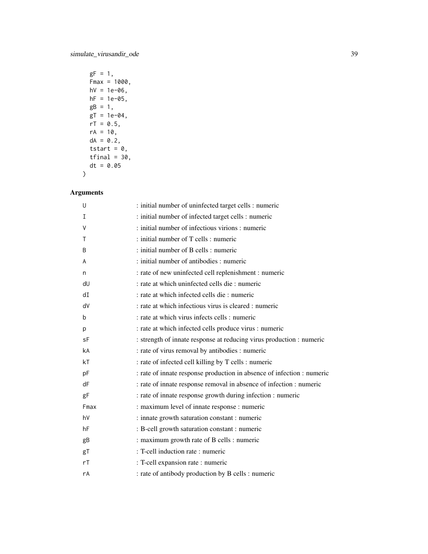$gF = 1,$  $Fmax = 1000,$  $hV = 1e-06$ ,  $hF = 1e-05,$  $gB = 1$ ,  $gT = 1e-04$ ,  $rT = 0.5$ ,  $rA = 10$ ,  $dA = 0.2$ , tstart =  $0,$  $tfinal = 30,$  $dt = 0.05$  $\mathcal{L}$ 

| U    | : initial number of uninfected target cells : numeric                  |
|------|------------------------------------------------------------------------|
| I    | : initial number of infected target cells : numeric                    |
| V    | : initial number of infectious virions : numeric                       |
| T    | : initial number of T cells : numeric                                  |
| B    | : initial number of B cells : numeric                                  |
| A    | : initial number of antibodies : numeric                               |
| n    | : rate of new uninfected cell replenishment : numeric                  |
| dU   | : rate at which uninfected cells die : numeric                         |
| dI   | : rate at which infected cells die : numeric                           |
| dV   | : rate at which infectious virus is cleared : numeric                  |
| b    | : rate at which virus infects cells : numeric                          |
| р    | : rate at which infected cells produce virus : numeric                 |
| sF   | : strength of innate response at reducing virus production : numeric   |
| kA   | : rate of virus removal by antibodies : numeric                        |
| kT   | : rate of infected cell killing by T cells : numeric                   |
| pF   | : rate of innate response production in absence of infection : numeric |
| dF   | : rate of innate response removal in absence of infection : numeric    |
| gF   | : rate of innate response growth during infection : numeric            |
| Fmax | : maximum level of innate response : numeric                           |
| hV   | : innate growth saturation constant : numeric                          |
| hF   | : B-cell growth saturation constant : numeric                          |
| gB   | : maximum growth rate of B cells : numeric                             |
| gT   | : T-cell induction rate : numeric                                      |
| rT   | : T-cell expansion rate : numeric                                      |
| rA   | : rate of antibody production by B cells : numeric                     |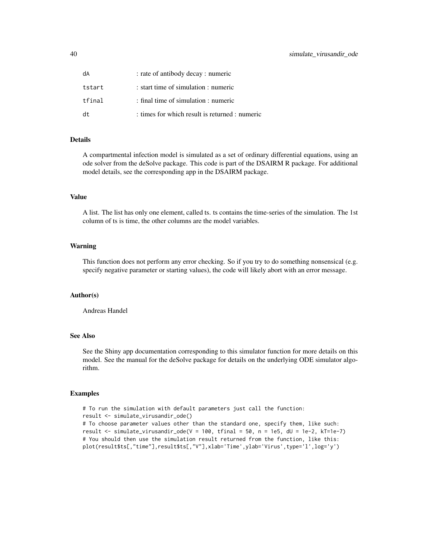| dA     | : rate of antibody decay : numeric             |
|--------|------------------------------------------------|
| tstart | : start time of simulation : numeric           |
| tfinal | : final time of simulation : numeric           |
| dt     | : times for which result is returned : numeric |

A compartmental infection model is simulated as a set of ordinary differential equations, using an ode solver from the deSolve package. This code is part of the DSAIRM R package. For additional model details, see the corresponding app in the DSAIRM package.

#### Value

A list. The list has only one element, called ts. ts contains the time-series of the simulation. The 1st column of ts is time, the other columns are the model variables.

#### Warning

This function does not perform any error checking. So if you try to do something nonsensical (e.g. specify negative parameter or starting values), the code will likely abort with an error message.

#### Author(s)

Andreas Handel

#### See Also

See the Shiny app documentation corresponding to this simulator function for more details on this model. See the manual for the deSolve package for details on the underlying ODE simulator algorithm.

#### Examples

```
# To run the simulation with default parameters just call the function:
result <- simulate_virusandir_ode()
# To choose parameter values other than the standard one, specify them, like such:
result \le simulate_virusandir_ode(V = 100, tfinal = 50, n = 1e5, dU = 1e-2, kT=1e-7)
# You should then use the simulation result returned from the function, like this:
plot(result$ts[,"time"],result$ts[,"V"],xlab='Time',ylab='Virus',type='l',log='y')
```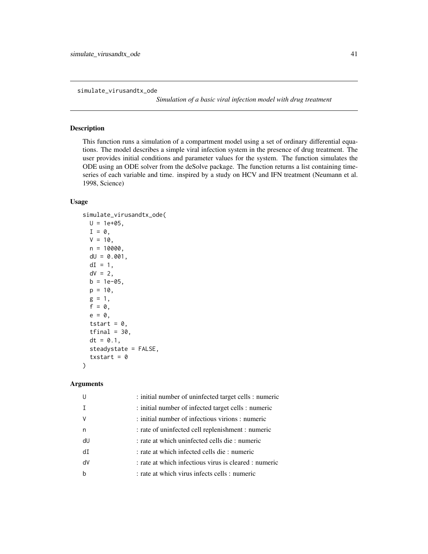<span id="page-40-0"></span>simulate\_virusandtx\_ode

*Simulation of a basic viral infection model with drug treatment*

#### Description

This function runs a simulation of a compartment model using a set of ordinary differential equations. The model describes a simple viral infection system in the presence of drug treatment. The user provides initial conditions and parameter values for the system. The function simulates the ODE using an ODE solver from the deSolve package. The function returns a list containing timeseries of each variable and time. inspired by a study on HCV and IFN treatment (Neumann et al. 1998, Science)

#### Usage

```
simulate_virusandtx_ode(
 U = 1e+05,
 I = 0,
 V = 10,
 n = 10000,dU = 0.001,
 dI = 1,
 dV = 2,
 b = 1e-05,
 p = 10,
 g = 1,
  f = 0,
  e = 0,
  tstart = 0,
  tfinal = 30,
  dt = 0.1,
  steadystate = FALSE,
  txstart = \theta)
```

|                | : initial number of uninfected target cells : numeric |
|----------------|-------------------------------------------------------|
|                | : initial number of infected target cells : numeric   |
|                | : initial number of infectious virions : numeric      |
| n              | : rate of uninfected cell replenishment : numeric     |
| dU             | : rate at which uninfected cells die : numeric        |
| d <sub>T</sub> | : rate at which infected cells die : numeric          |
| dV             | : rate at which infectious virus is cleared : numeric |
|                | : rate at which virus infects cells : numeric         |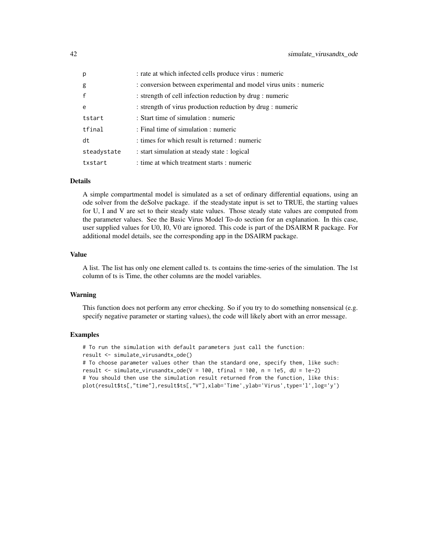| p            | : rate at which infected cells produce virus : numeric            |
|--------------|-------------------------------------------------------------------|
| g            | : conversion between experimental and model virus units : numeric |
| $\mathsf{f}$ | : strength of cell infection reduction by drug : numeric          |
| $\epsilon$   | : strength of virus production reduction by drug : numeric        |
| tstart       | : Start time of simulation : numeric                              |
| tfinal       | : Final time of simulation : numeric                              |
| dt           | : times for which result is returned : numeric                    |
| steadystate  | : start simulation at steady state : logical                      |
| txstart      | : time at which treatment starts : numeric                        |

A simple compartmental model is simulated as a set of ordinary differential equations, using an ode solver from the deSolve package. if the steadystate input is set to TRUE, the starting values for U, I and V are set to their steady state values. Those steady state values are computed from the parameter values. See the Basic Virus Model To-do section for an explanation. In this case, user supplied values for U0, I0, V0 are ignored. This code is part of the DSAIRM R package. For additional model details, see the corresponding app in the DSAIRM package.

#### Value

A list. The list has only one element called ts. ts contains the time-series of the simulation. The 1st column of ts is Time, the other columns are the model variables.

#### Warning

This function does not perform any error checking. So if you try to do something nonsensical (e.g. specify negative parameter or starting values), the code will likely abort with an error message.

#### Examples

# To run the simulation with default parameters just call the function: result <- simulate\_virusandtx\_ode() # To choose parameter values other than the standard one, specify them, like such: result <- simulate\_virusandtx\_ode(V = 100, tfinal = 100, n = 1e5, dU = 1e-2) # You should then use the simulation result returned from the function, like this: plot(result\$ts[,"time"],result\$ts[,"V"],xlab='Time',ylab='Virus',type='l',log='y')